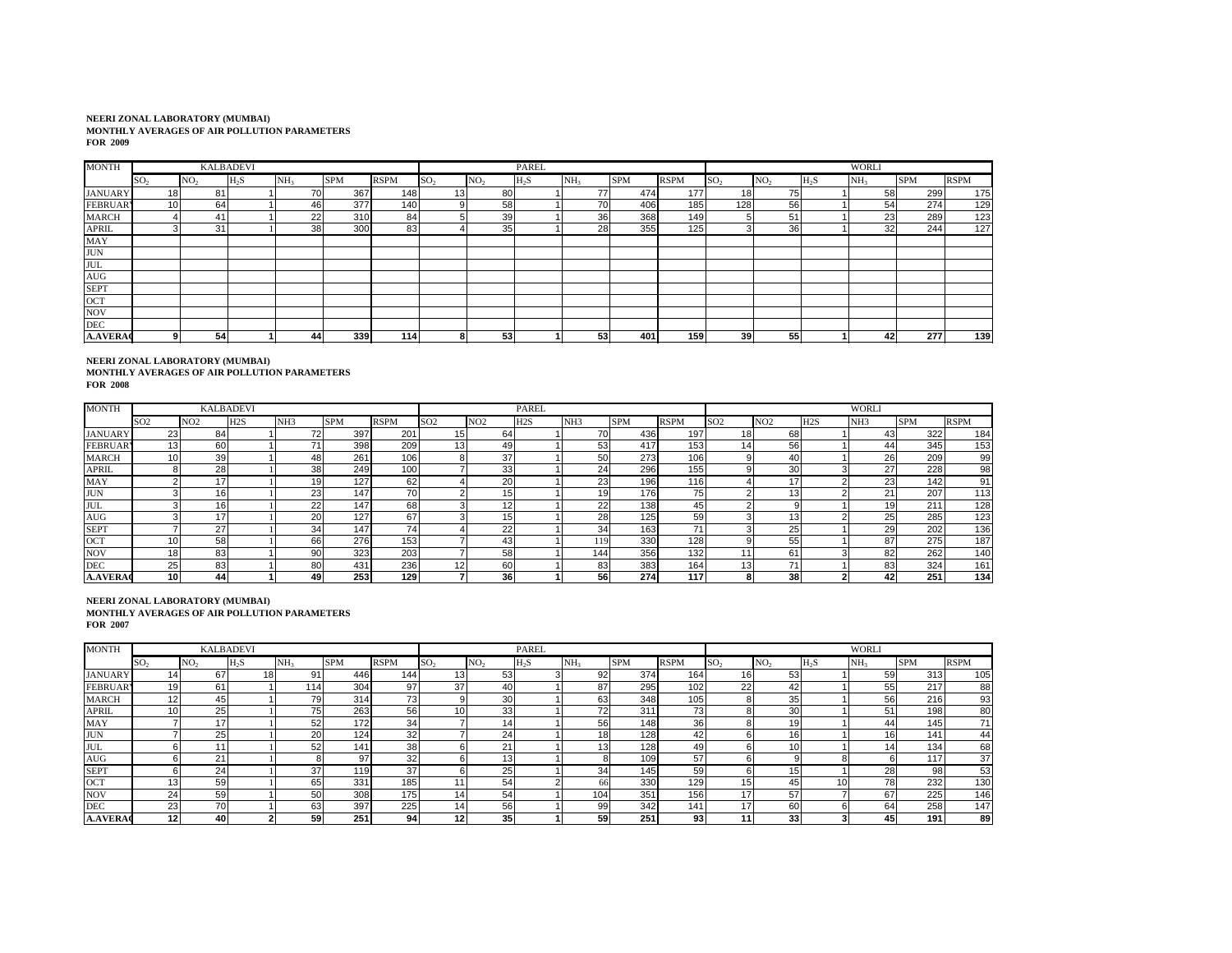| <b>MONTH</b>    |                 | <b>KALBADEVI</b> |        |                 |            |             |                 |                 | PAREL  |                 |            |             |                 |                 |        | <b>WORLI</b>    |            |             |
|-----------------|-----------------|------------------|--------|-----------------|------------|-------------|-----------------|-----------------|--------|-----------------|------------|-------------|-----------------|-----------------|--------|-----------------|------------|-------------|
|                 | SO <sub>2</sub> | NO <sub>2</sub>  | $H_2S$ | NH <sub>3</sub> | <b>SPM</b> | <b>RSPM</b> | SO <sub>2</sub> | NO <sub>2</sub> | $H_2S$ | NH <sub>3</sub> | <b>SPM</b> | <b>RSPM</b> | SO <sub>2</sub> | NO <sub>2</sub> | $H_2S$ | NH <sub>3</sub> | <b>SPM</b> | <b>RSPM</b> |
| <b>JANUARY</b>  | 18              | 81               |        | 70              | 367        | 148         | 13              | 80              |        | 77              | 474        | 177         | 18              | 75              |        | 58              | 299        | 175         |
| <b>FEBRUARY</b> | 10              | 64               |        | 46              | 377        | 140         |                 | 58              |        | 70              | 406        | 185         | 1281            | 56              |        | 54              | 274        | 129         |
| <b>MARCH</b>    |                 | 41               |        | 22              | 310        | 84          |                 | 39              |        | 36              | 368        | 149         | 5               | 51              |        | 23              | 289        | 123         |
| <b>APRIL</b>    |                 | 31               |        | 38              | 300        | 83          |                 | 35              |        | 28              | 355        | 125         | 3               | 36              |        | 32              | 244        | 127         |
| MAY             |                 |                  |        |                 |            |             |                 |                 |        |                 |            |             |                 |                 |        |                 |            |             |
| <b>JUN</b>      |                 |                  |        |                 |            |             |                 |                 |        |                 |            |             |                 |                 |        |                 |            |             |
| <b>JUL</b>      |                 |                  |        |                 |            |             |                 |                 |        |                 |            |             |                 |                 |        |                 |            |             |
| AUG             |                 |                  |        |                 |            |             |                 |                 |        |                 |            |             |                 |                 |        |                 |            |             |
| <b>SEPT</b>     |                 |                  |        |                 |            |             |                 |                 |        |                 |            |             |                 |                 |        |                 |            |             |
| OCT             |                 |                  |        |                 |            |             |                 |                 |        |                 |            |             |                 |                 |        |                 |            |             |
| <b>NOV</b>      |                 |                  |        |                 |            |             |                 |                 |        |                 |            |             |                 |                 |        |                 |            |             |
| <b>DEC</b>      |                 |                  |        |                 |            |             |                 |                 |        |                 |            |             |                 |                 |        |                 |            |             |
| <b>A.AVERAC</b> |                 | 54               |        | 44              | 339        | 114         |                 | 53              |        | 53              | 401        | 159         | 39 <sub>l</sub> | 55              |        | 42              | 277        | 139         |

**NEERI ZONAL LABORATORY (MUMBAI) MONTHLY AVERAGES OF AIR POLLUTION PARAMETERS FOR 2008**

| <b>MONTH</b>    |                 |     | <b>KALBADEVI</b> |                 |            |             |                 |                 | <b>PAREL</b> |                 |            |                  |                 |     |                  | <b>WORLI</b>    |            |             |
|-----------------|-----------------|-----|------------------|-----------------|------------|-------------|-----------------|-----------------|--------------|-----------------|------------|------------------|-----------------|-----|------------------|-----------------|------------|-------------|
|                 | SO <sub>2</sub> | NO2 | H <sub>2S</sub>  | NH <sub>3</sub> | <b>SPM</b> | <b>RSPM</b> | SO <sub>2</sub> | NO <sub>2</sub> | H2S          | NH <sub>3</sub> | <b>SPM</b> | <b>RSPM</b>      | SO <sub>2</sub> | NO2 | H <sub>2</sub> S | NH <sub>3</sub> | <b>SPM</b> | <b>RSPM</b> |
| <b>JANUARY</b>  | 23              | 84  |                  |                 | 397        | 201         |                 | 64              |              | 70              | 436        | 197              | 18              | 68  |                  | 43              | 322        | 184         |
| <b>FEBRUAR</b>  | 13 <sub>1</sub> | 60  |                  |                 | 398        | 209         | 13              | 49              |              | 53              | 417        | 153              | 14              | 56  |                  | 44              | 345        | 153         |
| <b>MARCH</b>    |                 | 39  |                  | 48              | 261        | 106         |                 | 37              |              | 50              | 273        | 106              |                 | 40  |                  | 26              | 209        | 99          |
| <b>APRIL</b>    |                 | 28  |                  | 38              | 249        | 100         |                 | 33              |              | 24              | 296        | 155              |                 | 30  |                  | 27              | 228        | 98          |
| <b>MAY</b>      |                 | 17  |                  |                 | 127        | 62          |                 | 2(              |              | 23              | 196        | 116 <sub>1</sub> |                 |     |                  | 23              | 142        | 91          |
| <b>JUN</b>      |                 | 16  |                  | 23              | 147        |             |                 | 15              |              | 19              | 176        | 75               |                 |     |                  | 21              | 207        | 113         |
| <b>JUL</b>      |                 | 16  |                  | 22              | 147        | 68          |                 | $\overline{A}$  |              | 22              | 138        | 45               |                 |     |                  | 19              | 211        | 128         |
| <b>AUG</b>      |                 | 17  |                  | 20              | 127        | 67          |                 | 15              |              | 28              | 125        | 59               |                 | 13  |                  | 25              | 285        | 123         |
| <b>SEPT</b>     |                 | 27  |                  | 34              | 147        | 74          |                 | $\gamma$<br>-   |              | 34              | 163        | 71               |                 | 25  |                  | 29              | 202        | 136         |
| OCT             |                 | 58  |                  | 66              | 276        | 153         |                 | 43              |              | 119             | 330        | 128              |                 | 55  |                  | 87              | 275        | 187         |
| <b>NOV</b>      |                 | 83  |                  | 90              | 323        | 203         |                 | 58              |              | 1441            | 356        | 132              | 11              | 61  |                  | 82              | 262        | 140         |
| <b>DEC</b>      | 25              | 83  |                  | 80              | 431        | 236         |                 | 60              |              | 83              | 383        | 164              | 13              | 71  |                  | 83              | 324        | 161         |
| <b>A.AVERAC</b> | 10              | 44  |                  | 49              | 253        | 129         |                 | 36              |              | 56              | 274        | 117              | 8.              | 38  |                  | 42              | 251        | 134         |

| <b>MONTH</b>    |                 |                  | <b>KALBADEVI</b> |                 |            |             |                 |                 | PAREL  |                 |            |             |                 |                 |        | <b>WORLI</b>    |            |                 |
|-----------------|-----------------|------------------|------------------|-----------------|------------|-------------|-----------------|-----------------|--------|-----------------|------------|-------------|-----------------|-----------------|--------|-----------------|------------|-----------------|
|                 | SO <sub>2</sub> | INO <sub>2</sub> | H <sub>2</sub> S | NH <sub>2</sub> | <b>SPM</b> | <b>RSPM</b> | SO <sub>2</sub> | NO <sub>2</sub> | $H_2S$ | NH <sub>2</sub> | <b>SPM</b> | <b>RSPM</b> | SO <sub>2</sub> | NO <sub>2</sub> | $H_2S$ | NH <sub>3</sub> | <b>SPM</b> | <b>RSPM</b>     |
| <b>JANUARY</b>  | 14              | 67               | 18               | 91              | 446        | 144         | 13              | 53              |        | 92              | 374        | 164         | 16              | 53              |        | 59              | 313        | 105             |
| <b>FEBRUAR</b>  | 19              | 61               |                  | 114             | 304        | 97          | 37              | 40              |        | 87              | 295        | 102         | 22              | 42              |        | 55              | 217        | 88              |
| <b>MARCH</b>    | 12 <sub>1</sub> | 45               |                  | 79              | 314        | 73          |                 | 30              |        | 63              | 348        | 105         | 8               | 35              |        | 56              | 216        | 93              |
| <b>APRIL</b>    |                 | 25               |                  | 75              | 263        | 56          | 10              | 33              |        | 72              | 311        | 73          |                 | 30              |        | 51              | 198        | 80              |
| <b>MAY</b>      |                 | 17               |                  | 52              | 172        | 34          |                 |                 |        | 56              | 148        | 36          |                 | 19              |        | 44              | 145        | 71 <sub>1</sub> |
| <b>JUN</b>      |                 | 25               |                  | 20              | 124        | 32          |                 | 24              |        | 18 <sup>1</sup> | 128        | 42          |                 |                 |        | 16              | 141        | 44              |
| <b>JUL</b>      |                 |                  |                  | 52              | 141        | 38          |                 | $2^{\circ}$     |        | 131             | 128        | 49          |                 | 10              |        |                 | 134        | 68              |
| AUG             |                 | 21               |                  |                 | 97         | 32          |                 | 12              |        |                 | 109        | 57          |                 |                 |        |                 | 117        | 37              |
| <b>SEPT</b>     |                 | 24               |                  | 37              | 119        | 37          |                 | 25              |        | 34              | 145        | 59          | 6               | 15              |        | 28              | 98         | 53              |
| OCT             |                 | 59               |                  | 65              | 331        | 185         |                 | 54              |        | 66              | 330        | 129         | 15              | 45              | 10     | 78              | 232        | 130             |
| <b>NOV</b>      | 24              | 59               |                  | 50              | 308        | 175         | 14              | 54              |        | 104             | 351        | 1561        | 17              | 57              |        | 67              | 225        | 146             |
| <b>DEC</b>      | 23              | 70               |                  | 63              | 397        | 225         |                 | 56              |        | 99              | 342        | 141         | 17              | 60              |        | 64              | 258        | 147             |
| <b>A.AVERAC</b> | 12              | 40               |                  | 59              | 251        | 94          | 12              | 35              |        | 59              | 251        | 93          | 11              | 33              |        | 45              | 191        | 89              |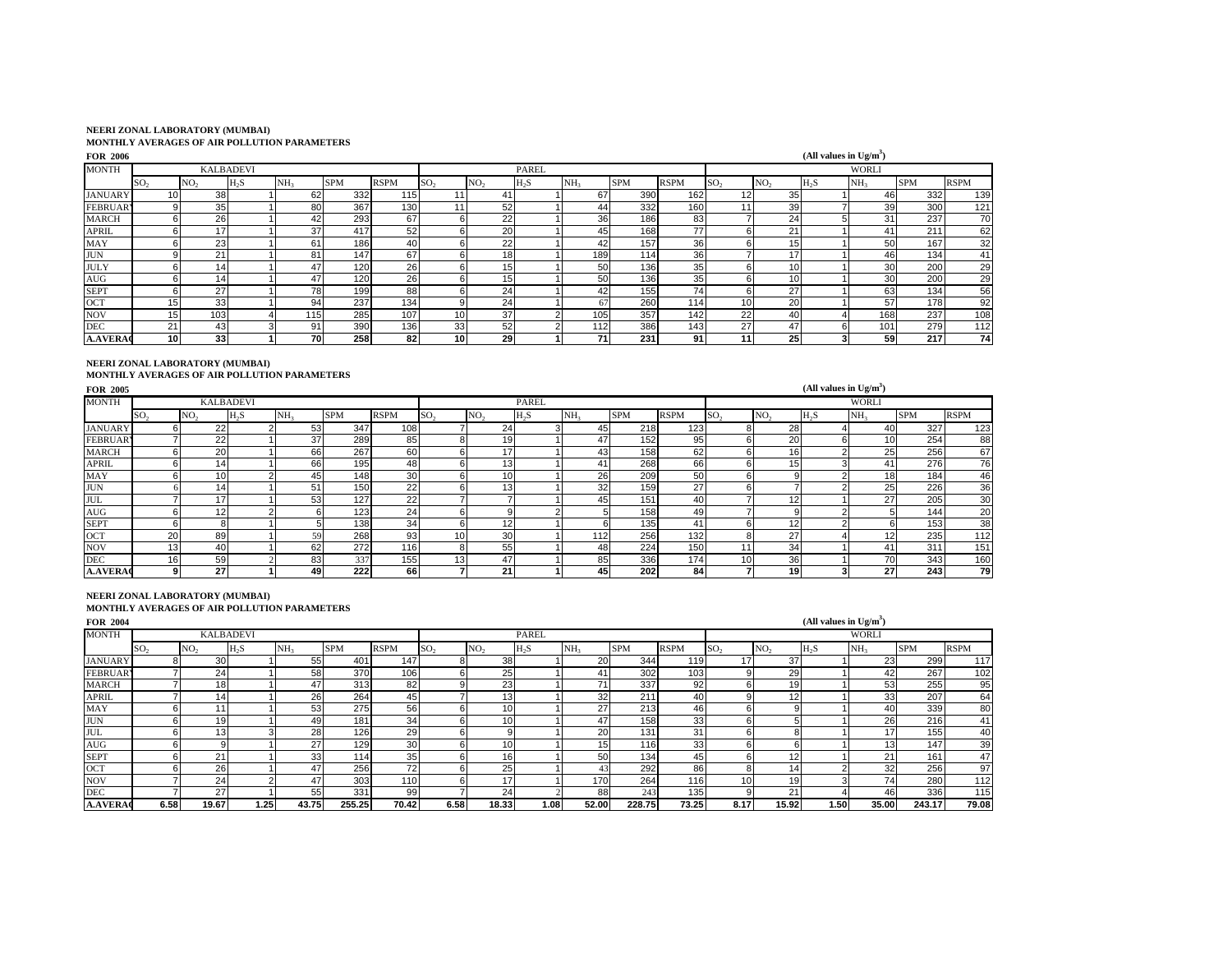| <b>FOR 2006</b> |                 |                  |                  |                 |            |             |                 |                 |        |                 |            |             |                 |                 | (All values in $Ug/m^3$ ) |                 |            |             |
|-----------------|-----------------|------------------|------------------|-----------------|------------|-------------|-----------------|-----------------|--------|-----------------|------------|-------------|-----------------|-----------------|---------------------------|-----------------|------------|-------------|
| <b>MONTH</b>    |                 |                  | <b>KALBADEVI</b> |                 |            |             |                 |                 | PAREL  |                 |            |             |                 |                 |                           | <b>WORLI</b>    |            |             |
|                 | SO <sub>2</sub> | NO <sub>2</sub>  | $H_2S$           | NH <sub>3</sub> | <b>SPM</b> | <b>RSPM</b> | SO <sub>2</sub> | NO <sub>2</sub> | $H_2S$ | NH <sub>3</sub> | <b>SPM</b> | <b>RSPM</b> | SO <sub>2</sub> | NO <sub>2</sub> | $H_2S$                    | NH <sub>3</sub> | <b>SPM</b> | <b>RSPM</b> |
| <b>JANUARY</b>  |                 | 38               |                  | 62              | 332        | 115         |                 | 41              |        | 67              | 390        | 162         | 12              | 35              |                           | 46              | 332        | 139         |
| <b>FEBRUARY</b> |                 | 35               |                  | 80              | 367        | 130         |                 | 52              |        | 44              | 332        | 160         | 11              | 39              |                           | 39              | 300        | 121         |
| <b>MARCH</b>    |                 | 26               |                  | 42              | 293        | 67          | h               | 22              |        | 36 <sup>1</sup> | 186        | 83          |                 | 24              |                           | 31              | 237        | 70          |
| <b>APRIL</b>    |                 | 17               |                  | 37              | 417        | 52          |                 | 20              |        | 45              | 168        | 77          | 6               | 21              |                           | 41              | 211        | 62          |
| MAY             |                 | 23               |                  | 61              | 186        | 40          | h               | 22              |        | 42              | 157        | 36          | 6               | 15 <sub>1</sub> |                           | 50              | 167        | 32          |
| <b>JUN</b>      |                 | 21               |                  | 81              | 147        | 67          | 6               | 18 <sub>1</sub> |        | 189             | 114        | 36          |                 | 17              |                           | 46              | 134        | 41          |
| <b>JULY</b>     |                 | 14 <sub>1</sub>  |                  | 47              | 120        | 26          | 6               | 15              |        | 50              | 136        | 35          | 6               | 10              |                           | 30              | 200        | 29          |
| AUG             |                 | 14               |                  | 47              | 120        | 26          |                 | 15 <sub>1</sub> |        | 50              | 136        | 35          | 6               | 10              |                           | 30              | 200        | 29          |
| <b>SEPT</b>     |                 | 27               |                  | 78              | 199        | 88          | h               | 24              |        | 42              | 155        | 74          | 6               | 27              |                           | 63              | 134        | 56          |
| OCT             |                 | 33               |                  | 94              | 237        | 134         |                 | 24              |        | 67              | 260        | 114         | 10              | 20 <sub>l</sub> |                           | 57              | 1781       | 92          |
| <b>NOV</b>      | 15              | 103 <sub>1</sub> |                  | 115             | 285        | 107         | 10              | 37              |        | 105             | 357        | 142         | 22              | 40              |                           | 168             | 237        | 108         |
| <b>DEC</b>      | 21              | 43               |                  | 91              | 390        | 136         | 33              | 52              |        | 112             | 386        | 143         | 27              | 47              | 6                         | 101             | 279        | 112         |
| <b>A.AVERAC</b> | 10 <sup>1</sup> | 33               |                  | 701             | 258        | 82          | 10              | 29              |        | 71              | 231        | 91          | 11              | 25              |                           | 59              | 217        | 74          |

**NEERI ZONAL LABORATORY (MUMBAI) MONTHLY AVERAGES OF AIR POLLUTION PARAMETERS** 

| <b>FOR 2005</b> |                 |                 |                  |                 |            |                 |                 |                 |              |                 |            |             |                 |                 | (All values in $Ug/m^3$ ) |                 |            |                 |
|-----------------|-----------------|-----------------|------------------|-----------------|------------|-----------------|-----------------|-----------------|--------------|-----------------|------------|-------------|-----------------|-----------------|---------------------------|-----------------|------------|-----------------|
| <b>MONTH</b>    |                 |                 | <b>KALBADEVI</b> |                 |            |                 |                 |                 | <b>PAREL</b> |                 |            |             |                 |                 |                           | <b>WORLI</b>    |            |                 |
|                 | SO <sub>2</sub> | NO <sub>2</sub> | $H_2S$           | NH <sub>3</sub> | <b>SPM</b> | <b>RSPM</b>     | SO <sub>2</sub> | NO <sub>2</sub> | $H_2S$       | NH <sub>3</sub> | <b>SPM</b> | <b>RSPM</b> | SO <sub>2</sub> | NO <sub>2</sub> | $H_2S$                    | NH <sub>3</sub> | <b>SPM</b> | <b>RSPM</b>     |
| <b>JANUARY</b>  | h               | 22              |                  | 53              | 347        | 108             |                 | 24              |              | 45              | 218        | 123         | 8               | 28              |                           | 40              | 327        | 123             |
| <b>FEBRUAR</b>  |                 | 22              |                  | 37              | 289        | 85              |                 | 19              |              | 47              | 152        | 95          | 6               | 20              |                           | 10              | 254        | 88              |
| <b>MARCH</b>    | h               | <b>20</b>       |                  | 66              | 267        | 60              | 6               |                 |              | 43              | 158        | 62          | 6               | 16              |                           | 25              | 256        | 67              |
| <b>APRIL</b>    | к               | 14              |                  | 66              | 195        | 48              | 6               | 13              |              | 41              | 268        | 66          | 6               | 15              |                           | 41              | 276        | 76              |
| MAY             | 'n              | 10              |                  | 45              | 148        | 30 <sup>°</sup> | 6               | 10              |              | <b>26</b>       | 209        | 50          | 6               | 9               |                           | 18              | 184        | 46              |
| <b>JUN</b>      |                 | 14              |                  | 51              | 150        | 22              | 6               | 13              |              | 32              | 159        | 27          | 6               |                 |                           | 25              | 226        | 36              |
| <b>JUL</b>      |                 | 17              |                  | 53              | 127        | 22              |                 |                 |              | 45              | 151        | 40          |                 | 12              |                           | 27              | 205        | 30 <sub>l</sub> |
| AUG             | п               | 12              |                  |                 | 123        | 24              | 6               |                 |              |                 | 158        | 49          |                 | 9               |                           |                 | 144        | 20              |
| <b>SEPT</b>     | ĥ               |                 |                  |                 | 138        | 34              | 6               | 12              |              |                 | 135        | 41          | 6               | 12              |                           |                 | 153        | 38              |
| OCT             | 20              | 89              |                  | 59              | 268        | 93              | 10 <sub>1</sub> | 30              |              | 112             | 256        | 132         | 8               | 27              |                           | 12 <sub>1</sub> | 235        | 112             |
| <b>NOV</b>      | 13 <sub>1</sub> | 40              |                  | 62              | 272        | 116             | 8               | 55              |              | 48              | 224        | 150         | 11              | 34              |                           | 41              | 311        | 151             |
| <b>DEC</b>      | 16 <sub>1</sub> | 59              |                  | 83              | 337        | 155             | 13              | 47              |              | 85              | 336        | 174         | 10              | 36              |                           | 70              | 343        | 160             |
| <b>A.AVERAC</b> | 9               | 27              |                  | 49              | 222        | 66              |                 | 21              |              | 45              | 202        | 84          |                 | 19              |                           | 27              | 243        | 79              |

## **NEERI ZONAL LABORATORY (MUMBAI)**

**MONTHLY AVERAGES OF AIR POLLUTION PARAMETERS** 

| <b>FOR 2004</b> |                 |                 |                  |                 |            |                 |                 |                 |        |                 |                  |                  |                 |                 | (All values in $Ug/m^3$ ) |                 |            |             |
|-----------------|-----------------|-----------------|------------------|-----------------|------------|-----------------|-----------------|-----------------|--------|-----------------|------------------|------------------|-----------------|-----------------|---------------------------|-----------------|------------|-------------|
| <b>MONTH</b>    |                 |                 | <b>KALBADEVI</b> |                 |            |                 |                 |                 | PAREL  |                 |                  |                  |                 |                 |                           | <b>WORLI</b>    |            |             |
|                 | SO <sub>2</sub> | NO <sub>2</sub> | $H_2S$           | NH <sub>3</sub> | <b>SPM</b> | <b>RSPM</b>     | SO <sub>2</sub> | NO <sub>2</sub> | $H_2S$ | NH <sub>3</sub> | <b>SPM</b>       | <b>RSPM</b>      | SO <sub>2</sub> | NO <sub>2</sub> | $H_2S$                    | NH <sub>3</sub> | <b>SPM</b> | <b>RSPM</b> |
| <b>JANUARY</b>  |                 | 30              |                  | 55              | 401        | 147             | 8               | 38              |        | 20              | 344              | 119              | 17              | 37              |                           | 23              | 299        | 117         |
| <b>FEBRUARY</b> |                 | 24              |                  | 58              | 370        | 106             | 6               | 25              |        | 41              | 302              | 103 <sub>1</sub> |                 | 29              |                           | 42              | 267        | 102         |
| <b>MARCH</b>    |                 | 18 <sub>1</sub> |                  | 47              | 313        | 82              | 9               | 23              |        | $\overline{z}$  | 337              | 92               |                 | 19              |                           | 53              | 255        | 95          |
| <b>APRIL</b>    |                 | 14              |                  | 26              | 264        | 45              |                 |                 |        | 32              | 211              | 40               |                 | 12              |                           | 33              | 207        | 64          |
| <b>MAY</b>      |                 |                 |                  | 53              | 275        | 56              | 6               | 10              |        | 27              | 213              | 46               |                 | a               |                           | 40              | 339        | 80          |
| <b>JUN</b>      |                 | 19              |                  | 49              | 181        | 34              | 6               | 10              |        | 47              | 158              | 33               |                 |                 |                           | 26              | 216        | 41          |
| <b>JUL</b>      |                 | 13 <sub>1</sub> |                  | 28              | 126        | 29              | 6.              |                 |        | 20              | 131              | 31               |                 |                 |                           | 17              | 155        | 40          |
| AUG             |                 |                 |                  | 27              | 129        | 30 <sup>1</sup> | 6               | 10              |        | 151             | 116 <sub>1</sub> | 33               |                 | n               |                           | 13              | 147        | 39          |
| <b>SEPT</b>     |                 | 21              |                  | 33 <sup>1</sup> | 114.       | 35              | 6               |                 |        | 50              | 134              | 45               |                 | 12              |                           | 21              | 161        | 47          |
| OCT             |                 | 26              |                  | 47              | 256        | 72              | 6.              | 25              |        | 43              | 292              | 86               |                 | 14.             |                           | 32              | 256        | 97          |
| <b>NOV</b>      |                 | 24              |                  | 47              | 303        | 110             | 6               | 17              |        | 170             | 264              | 116              | 10              | 19              |                           | 74              | 280        | 112         |
| <b>DEC</b>      |                 | 27              |                  | 55              | 331        | 99              |                 | 24              |        | 88              | 243              | 1351             |                 | 21              |                           | 46              | 336        | 115         |
| <b>A.AVERAC</b> | 6.58            | 19.67           | 1.25             | 43.75           | 255.25     | 70.42           | 6.58            | 18.33           | 1.08   | 52.00           | 228.75           | 73.25            | 8.17            | 15.92           | 1.50                      | 35.00           | 243.17     | 79.08       |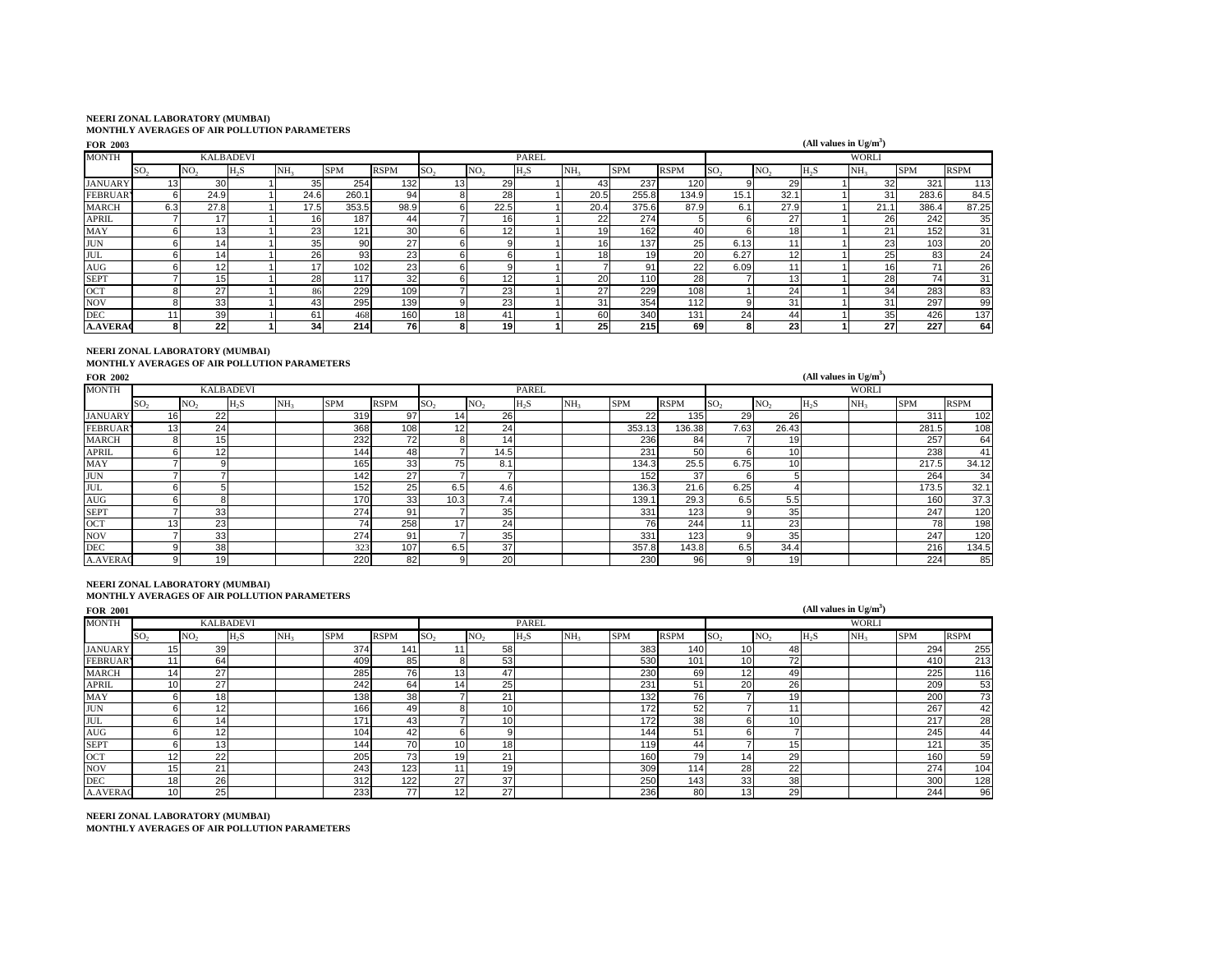| <b>FOR 2003</b> |                 |                 |                  |                 |            |             |                 |                 |              |                 |            |             |                 |                 | (All values in $Ug/m^3$ ) |                 |            |             |
|-----------------|-----------------|-----------------|------------------|-----------------|------------|-------------|-----------------|-----------------|--------------|-----------------|------------|-------------|-----------------|-----------------|---------------------------|-----------------|------------|-------------|
| <b>MONTH</b>    |                 |                 | <b>KALBADEVI</b> |                 |            |             |                 |                 | <b>PAREL</b> |                 |            |             |                 |                 |                           | <b>WORLI</b>    |            |             |
|                 | SO <sub>2</sub> | NO <sub>2</sub> | $H_2S$           | NH <sub>3</sub> | <b>SPM</b> | <b>RSPM</b> | SO <sub>2</sub> | NO <sub>2</sub> | $H_2S$       | NH <sub>3</sub> | <b>SPM</b> | <b>RSPM</b> | SO <sub>2</sub> | NO <sub>2</sub> | $H_2S$                    | NH <sub>3</sub> | <b>SPM</b> | <b>RSPM</b> |
| <b>JANUARY</b>  | 13 <sub>1</sub> | 30              |                  | 35              | 254        | 132         | 13              | 29              |              | 43              | 237        | 120         |                 | 29              |                           | 32              | 321        | 113         |
| <b>FEBRUARY</b> | 61              | 24.9            |                  | 24.6            | 260.1      | 94          |                 | 28              |              | 20.5            | 255.8      | 134.9       | 15.1            | 32.1            |                           | 31              | 283.6      | 84.5        |
| <b>MARCH</b>    | 6.3             | 27.8            |                  | 17.5            | 353.5      | 98.9        | 6               | 22.5            |              | 20.4            | 375.6      | 87.9        | 6.1             | 27.9            |                           | 21.1            | 386.4      | 87.25       |
| <b>APRIL</b>    |                 | 17              |                  | 16 <sub>1</sub> | 187        | 44          |                 | 16              |              | 22              | 274        |             |                 | 27 <sub>l</sub> |                           | 26              | 242        | 35          |
| MAY             |                 | 13 <sub>1</sub> |                  | 23              | 121        | 30          |                 | 1 <sup>2</sup>  |              | 19              | 162        | 40          |                 | 18              |                           | 21              | 152        | 31          |
| <b>JUN</b>      | n.              | 14 <sub>1</sub> |                  | 35              | 90         | 27          |                 |                 |              | 16 <sub>1</sub> | 137        | 25          | 6.13            | 11              |                           | 23              | 103        | 20          |
| <b>JUL</b>      |                 | 14              |                  | 26              | 93         | 23          |                 |                 |              | 18              | 19         | 20          | 6.27            | 12              |                           | 25              | 83         | 24          |
| AUG             |                 | 12 <sub>1</sub> |                  | 17              | 102        | 23          |                 |                 |              |                 | 91         | 22          | 6.09            | 11              |                           | 16              | 71         | 26          |
| <b>SEPT</b>     |                 | 15 <sub>1</sub> |                  | 28              | 117        | 32          |                 |                 |              | 20              | 110        | 28          |                 | 13 <sup>l</sup> |                           | 28              | 74         | 31          |
| OCT             |                 | 27              |                  |                 | 229        | 109         |                 | 23              |              | 27              | 229        | 108         |                 | 24              |                           | 34              | 283        | 83          |
| <b>NOV</b>      |                 | 33              |                  | 43              | 295        | 139         |                 | 23              |              | 31              | 354        | 112         |                 | 31              |                           | 31              | 297        | 99          |
| DEC             |                 | 39              |                  | 61              | 468        | 160         | 18 <sup>1</sup> | 41              |              | 60              | 340        | 131         | 24              | 44              |                           | 35              | 426        | 137         |
| <b>A.AVERAC</b> | 81              | 221             |                  | 34              | 214        | 76          | 8               | 19              |              | 25              | 215        | 69          | 8               | 23 <sub>1</sub> |                           | 27              | 227        | 64          |

### **NEERI ZONAL LABORATORY (MUMBAI)**

#### **MONTHLY AVERAGES OF AIR POLLUTION PARAMETERS**

| <b>FOR 2002</b> |                 |                 |                  |                 |            |             |                 |                 |              |                 |            |                  |                 |                 | (All values in $Ug/m^3$ ) |                 |            |             |
|-----------------|-----------------|-----------------|------------------|-----------------|------------|-------------|-----------------|-----------------|--------------|-----------------|------------|------------------|-----------------|-----------------|---------------------------|-----------------|------------|-------------|
| <b>MONTH</b>    |                 |                 | <b>KALBADEVI</b> |                 |            |             |                 |                 | <b>PAREL</b> |                 |            |                  |                 |                 |                           | <b>WORLI</b>    |            |             |
|                 | SO <sub>2</sub> | NO <sub>2</sub> | $H_2S$           | NH <sub>2</sub> | <b>SPM</b> | <b>RSPM</b> | SO <sub>2</sub> | NO <sub>2</sub> | $H_2S$       | NH <sub>3</sub> | <b>SPM</b> | <b>RSPM</b>      | SO <sub>2</sub> | NO <sub>2</sub> | $H_2S$                    | NH <sub>2</sub> | <b>SPM</b> | <b>RSPM</b> |
| <b>JANUARY</b>  | 16              | 22              |                  |                 | 319        | 97          | 14              | 26              |              |                 | 22         | 135 <sub>1</sub> | 29              | 26              |                           |                 | 311        | 102         |
| <b>FEBRUAR</b>  | 13 <sup>1</sup> | 24              |                  |                 | 368        | 108         | 12              | 24              |              |                 | 353.13     | 136.38           | 7.63            | 26.43           |                           |                 | 281.5      | 108         |
| <b>MARCH</b>    | 8               | 15              |                  |                 | 232        | 72          |                 | 14              |              |                 | 236        | 84               |                 | 19              |                           |                 | 257        | 64          |
| APRIL           | 6               | 12              |                  |                 | 144        | 48          |                 | 14.5            |              |                 | 231        | 50               |                 | 10 <sup>1</sup> |                           |                 | 238        | 41          |
| MAY             |                 |                 |                  |                 | 165        | 33          | 75              | 8.1             |              |                 | 134.3      | 25.5             | 6.75            | 10 <sup>1</sup> |                           |                 | 217.5      | 34.12       |
| <b>JUN</b>      |                 |                 |                  |                 | 142        | 27          |                 |                 |              |                 | 152        | 37               |                 |                 |                           |                 | 264        | 34          |
| JUL             | 61              |                 |                  |                 | 152        | 25          | 6.5             | 4.6             |              |                 | 136.3      | 21.6             | 6.25            |                 |                           |                 | 173.5      | 32.1        |
| AUG             | 61              |                 |                  |                 | 170        | 33          | 10.3            | 7.4             |              |                 | 139.7      | 29.3             | 6.5             | 5.5             |                           |                 | 160        | 37.3        |
| <b>SEPT</b>     |                 | 33              |                  |                 | 274        | 91          |                 | 35              |              |                 | 331        | 123              |                 | 35              |                           |                 | 247        | 120         |
| OCT             | 13              | 23              |                  |                 | 74         | 258         | 17              | 24              |              |                 | 76         | 244              | $\overline{A}$  | 23              |                           |                 | 78         | 198         |
| <b>NOV</b>      |                 | 33              |                  |                 | 274        | 91          |                 | 35 <sub>1</sub> |              |                 | 331        | 123              |                 | 35              |                           |                 | 247        | 120         |
| <b>DEC</b>      |                 | 38              |                  |                 | 323        | 107         | 6.5             | 37              |              |                 | 357.8      | 143.8            | 6.5             | 34.4            |                           |                 | 216        | 134.5       |
| <b>A.AVERAC</b> | 9               | 19              |                  |                 | 220        | 82          |                 | 20              |              |                 | 230        | 96 <sup>1</sup>  |                 | 19              |                           |                 | 224        | 85          |

#### **NEERI ZONAL LABORATORY (MUMBAI)**

#### **MONTHLY AVERAGES OF AIR POLLUTION PARAMETERS**

| <b>FOR 2001</b> |                 |                 |                  |                 |            |             |                 |                 |        |                 |            |             |                 |                 | (All values in $Ug/m^3$ ) |                 |            |             |
|-----------------|-----------------|-----------------|------------------|-----------------|------------|-------------|-----------------|-----------------|--------|-----------------|------------|-------------|-----------------|-----------------|---------------------------|-----------------|------------|-------------|
| <b>MONTH</b>    |                 |                 | <b>KALBADEVI</b> |                 |            |             |                 |                 | PAREL  |                 |            |             |                 |                 |                           | <b>WORLI</b>    |            |             |
|                 | SO <sub>2</sub> | NO <sub>2</sub> | H <sub>2</sub> S | NH <sub>2</sub> | <b>SPM</b> | <b>RSPM</b> | SO <sub>2</sub> | NO <sub>2</sub> | $H_2S$ | NH <sub>2</sub> | <b>SPM</b> | <b>RSPM</b> | SO <sub>2</sub> | NO <sub>2</sub> | H <sub>2</sub> S          | NH <sub>2</sub> | <b>SPM</b> | <b>RSPM</b> |
| <b>JANUARY</b>  | 15 <sub>1</sub> | 39              |                  |                 | 374        | 141         |                 | 58              |        |                 | 383        | 140         | 10              | 48              |                           |                 | 294        | 255         |
| <b>FEBRUARY</b> | 11              | 64              |                  |                 | 409        | 85          | 8               | 53              |        |                 | 530        | 101         | 10              | 72              |                           |                 | 410        | 213         |
| <b>MARCH</b>    | 14.             | 27              |                  |                 | 285        | 761         | 13              | 47              |        |                 | 230        | 69          | 12              | 49              |                           |                 | 225        | 116         |
| <b>APRIL</b>    | 10 <sub>1</sub> | 27              |                  |                 | 242        | 64          | 14              | 25              |        |                 | 231        | 51          | 20              | 26              |                           |                 | 209        | 53          |
| MAY             | n               | 18              |                  |                 | 138        | 38          |                 | 21              |        |                 | 132        | 76          |                 | 19              |                           |                 | 200        | 73          |
| <b>JUN</b>      |                 | 12              |                  |                 | 166        | 49          | 8               | 10I             |        |                 | 172        | 52          |                 | 11              |                           |                 | 267        | 42          |
| JUL             |                 | 14 <sub>l</sub> |                  |                 | 171        | 43          |                 | 10              |        |                 | 172        | 38          |                 | 10              |                           |                 | 217        | 28          |
| AUG             |                 | 12              |                  |                 | 104        | 42          | 6               |                 |        |                 | 144        | 51          |                 |                 |                           |                 | 245        | 44          |
| <b>SEPT</b>     |                 | 13 <sub>1</sub> |                  |                 | 144        | 70          | 10              | 18 <sub>1</sub> |        |                 | 119        | 44          |                 | 15              |                           |                 | 121        | 35          |
| OCT             | 12              | 22              |                  |                 | 205        | 73          | 19              | 21              |        |                 | 160        | 79          | 14              | 29              |                           |                 | 160        | 59          |
| <b>NOV</b>      | 15              | 21              |                  |                 | 243        | 123         |                 | 19              |        |                 | 309        | 114         | 28              | 22              |                           |                 | 274        | 104         |
| <b>DEC</b>      | 18 <sub>1</sub> | 26              |                  |                 | 312        | 122         | 27              | 37              |        |                 | 250        | 143         | 33 <sub>1</sub> | 38              |                           |                 | 300        | 128         |
| <b>A.AVERAC</b> | 10              | 25              |                  |                 | 233        | 77          | 12              | 27              |        |                 | 236        | 80          | 13              | 29              |                           |                 | 244        | 96          |

# **NEERI ZONAL LABORATORY (MUMBAI)**

**MONTHLY AVERAGES OF AIR POLLUTION PARAMETERS**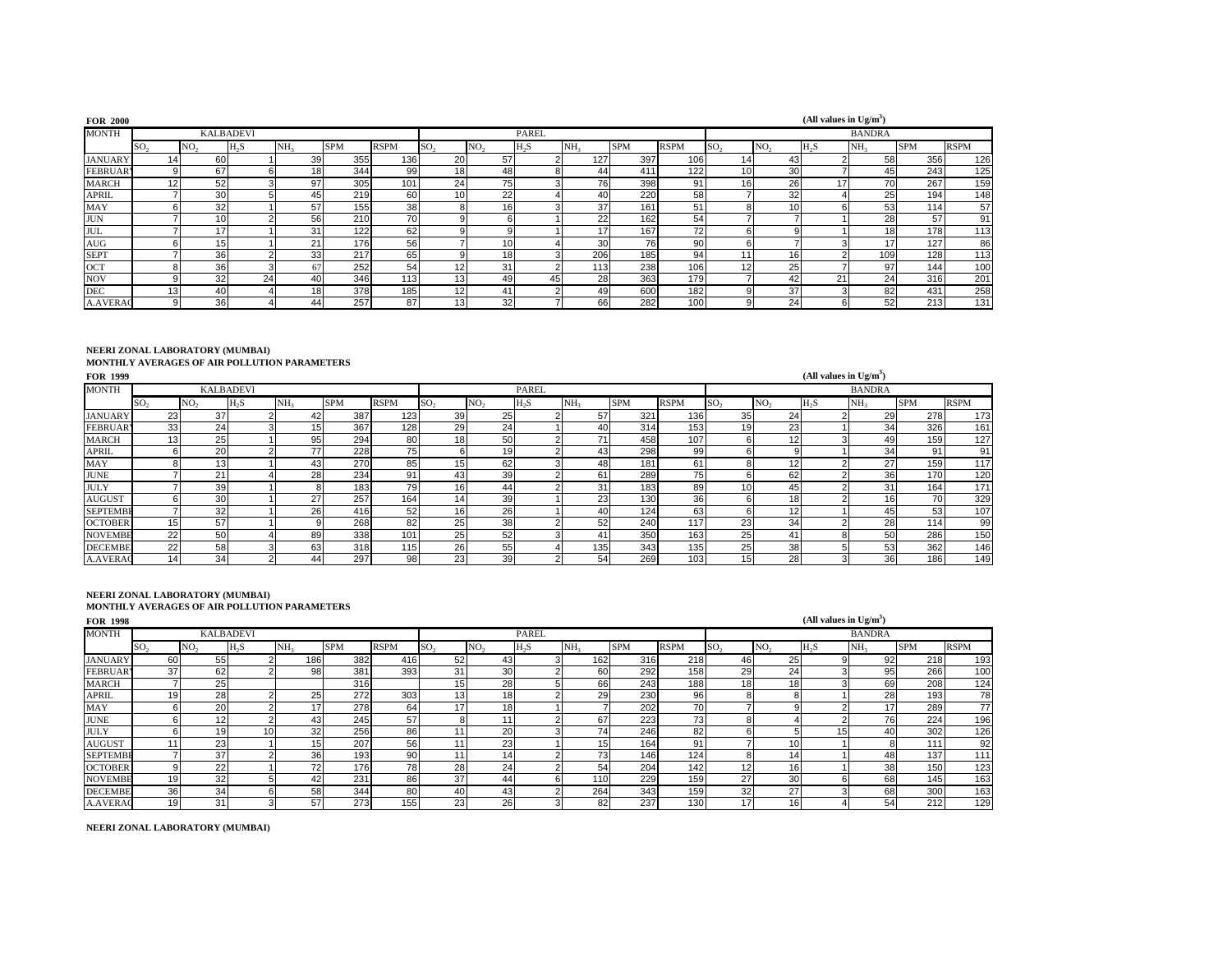| <b>FOR 2000</b> |                 |                 |                  |                 |            |             |                 |                 |              |                 |            |                 |     |                 | (All values in $Ug/m^3$ ) |                 |            |             |
|-----------------|-----------------|-----------------|------------------|-----------------|------------|-------------|-----------------|-----------------|--------------|-----------------|------------|-----------------|-----|-----------------|---------------------------|-----------------|------------|-------------|
| <b>MONTH</b>    |                 |                 | <b>KALBADEVI</b> |                 |            |             |                 |                 | <b>PAREL</b> |                 |            |                 |     |                 |                           | <b>BANDRA</b>   |            |             |
|                 | SO <sub>2</sub> | NO <sub>2</sub> | $H_2S$           | NH <sub>2</sub> | <b>SPM</b> | <b>RSPM</b> | SO <sub>2</sub> | NO <sub>2</sub> | $H_2S$       | NH <sub>3</sub> | <b>SPM</b> | <b>RSPM</b>     | SO, | NO <sub>2</sub> | $H_{2}S$                  | NH <sub>2</sub> | <b>SPM</b> | <b>RSPM</b> |
| <b>JANUARY</b>  | 14 <sup>1</sup> | 60              |                  | 39 <sub>l</sub> | 355        | 136         | 20              | 57              |              | 127             | 397        | 106             | 14  | 43              |                           | 58              | 356        | 126         |
| <b>FEBRUAR</b>  | 9               | 67              |                  | 18              | 344        | 99          | 18 <sub>1</sub> | 48              |              | 44              | 411        | 122             | 10  | 30 <sup>1</sup> |                           | 45              | 243        | 125         |
| <b>MARCH</b>    | 12              | 52              |                  | 97              | 305        | 101         | 24              | 75              |              | 76              | 398        | 91              | 16  | 26              | 17                        | 70              | 267        | 159         |
| <b>APRIL</b>    |                 | 30              |                  | 45              | 219        | 60          | 10 <sub>1</sub> | 22              |              | 40              | 220        | 58              |     | 32              |                           | 25              | 194        | 148         |
| MAY             |                 | 32              |                  | 57              | 155        | 38          |                 | 161             |              | 37              | 161        | 51              |     | 10              |                           | 53              | 114        | 57          |
| <b>JUN</b>      |                 | 10 <sub>1</sub> |                  | 56              | 210        | 70          |                 | <sub>16</sub>   |              | 22              | 162        | 54              |     |                 |                           | 28              | 57         | 91          |
| <b>JUL</b>      |                 | 17              |                  | 31              | 122        | 62          |                 | 9               |              | 17              | 167        | 72              |     |                 |                           | 181             | 178        | 113         |
| <b>AUG</b>      | 61              | 15 <sub>1</sub> |                  | 21              | 176        | 56          |                 | 10              |              | 30 <sub>l</sub> | 76         | 90 <sup>1</sup> |     |                 |                           | 17 <sub>1</sub> | 127        | 86          |
| <b>SEPT</b>     |                 | 36              |                  | 33              | 217        | 65          |                 | 18 <sup>1</sup> |              | 206             | 185        | 94              | 11  | 16 <sup>1</sup> |                           | 109             | 128        | 113         |
| OCT             | 8               | 36              |                  | 67              | 252        | 54          | 12              | 31              |              | 113             | 238        | 106             | 12  | 25              |                           | 97              | 144        | 100         |
| <b>NOV</b>      |                 | 32              | 24               | 40              | 346        | 113         | 13              | 49              | 45           | 28              | 363        | 179             |     | 42              | 21                        | 24              | 316        | 201         |
| <b>DEC</b>      | 13 <sup>1</sup> | 40              |                  | 18 <sup>1</sup> | 378        | 185         | 12              | 41              |              | 49              | 600        | 182             |     | 37              |                           | 82              | 431        | 258         |
| <b>A.AVERAC</b> | 9               | 36              |                  | 441             | 257        | 87          |                 | 32              |              | 66              | 282        | 100             |     | 24              |                           | 52              | 213        | 131         |

### **NEERI ZONAL LABORATORY (MUMBAI)**

#### **MONTHLY AVERAGES OF AIR POLLUTION PARAMETERS**

| <b>FOR 1999</b> |                 |                 |                  |                 |            |             |                 |                 |                  |                 |            |                  |                  |                 | (All values in $Ug/m^3$ ) |                 |            |             |
|-----------------|-----------------|-----------------|------------------|-----------------|------------|-------------|-----------------|-----------------|------------------|-----------------|------------|------------------|------------------|-----------------|---------------------------|-----------------|------------|-------------|
| MONTH           |                 |                 | <b>KALBADEVI</b> |                 |            |             |                 |                 | <b>PAREL</b>     |                 |            |                  |                  |                 |                           | <b>BANDRA</b>   |            |             |
|                 | SO <sub>2</sub> | NO <sub>2</sub> | H <sub>2</sub> S | NH <sub>2</sub> | <b>SPM</b> | <b>RSPM</b> | SO <sub>2</sub> | NO <sub>2</sub> | H <sub>2</sub> S | NH <sub>2</sub> | <b>SPM</b> | <b>RSPM</b>      | ISO <sub>2</sub> | NO <sub>2</sub> | H <sub>2</sub> S          | NH <sub>3</sub> | <b>SPM</b> | <b>RSPM</b> |
| <b>JANUARY</b>  | 231             | 37              |                  | 42              | 387        | 123         | 39              | 25              |                  | 57              | 321        | 136              | 35               | 24              |                           | 29              | 278        | 173         |
| <b>FEBRUAR</b>  | 33              | 24              |                  | 15              | 367        | 128         | 29              | 24              |                  | 40              | 314        | 153              | 19               | 23              |                           | 34              | 326        | 161         |
| <b>MARCH</b>    | 13 <sub>1</sub> | 25              |                  | 95              | 294        | 80          | 18              | 50              |                  | 71              | 458        | 107              |                  | 12              |                           | 49              | 159        | 127         |
| <b>APRIL</b>    |                 | 20 <sup>1</sup> |                  | 77              | 228        | 75          | b               | 19              |                  | 43              | 298        | 99               |                  | 9               |                           | 34              | 91         | 91          |
| <b>MAY</b>      |                 | 13              |                  | 43              | 270        | 85          | 15              | 62              |                  | 48              | 181        | 61               |                  | 12              |                           | 27              | 159        | 117         |
| <b>JUNE</b>     |                 | 21              |                  | 28              | 234        | 91          | 43              | 39              |                  | 61              | 289        | 75               | 6                | 62              |                           | 36              | 170        | 120         |
| <b>JULY</b>     |                 | 39              |                  |                 | 183        | 79          | 16              | 44              |                  | 3 <sup>1</sup>  | 183        | 89               | 10               | 45              |                           | 31              | 164        | 171         |
| <b>AUGUST</b>   |                 | 30 <sup>1</sup> |                  | 27              | 257        | 164         | 141             | 39              |                  | 23              | 130        | 36               |                  | 18              |                           | 16              | 70         | 329         |
| <b>SEPTEMBE</b> |                 | 32              |                  | 26              | 416        | 52          | 16              | 26              |                  | 40              | 124        | 63               | 'n               | 12              |                           | 45              | 53         | 107         |
| <b>OCTOBER</b>  | 15              | 57              |                  |                 | 268        | 82          | 25              | 38              |                  | 52              | 240        | 117              | 23               | 34              |                           | 28              | 1141       | 99          |
| <b>NOVEMBE</b>  | 22              | 50              |                  | 89              | 338        | 101         | 25              | 52              |                  | 41              | 350        | 163              | 25               | 41              |                           | 50              | 286        | 150         |
| <b>DECEMBE</b>  | 22              | 58              |                  | 63              | 318        | 115         | 26              | 55              |                  | 135             | 343        | 135 <sub>1</sub> | 25               | 38 <sup>l</sup> |                           | 53              | 362        | 146         |
| <b>A.AVERAC</b> | 14              | 34              |                  | 44              | 297        | 98          | 23              | 39              |                  | 54              | 269        | 103              | 15               | 28              |                           | 36              | 186        | 149         |

# **NEERI ZONAL LABORATORY (MUMBAI) MONTHLY AVERAGES OF AIR POLLUTION PARAMETERS**

| <b>FOR 1998</b> |                 |                  |        |                 |            |                 |                 |                 |                  |                 |            |             |                 |                 | (All values in $Ug/m^3$ ) |                 |            |             |
|-----------------|-----------------|------------------|--------|-----------------|------------|-----------------|-----------------|-----------------|------------------|-----------------|------------|-------------|-----------------|-----------------|---------------------------|-----------------|------------|-------------|
| <b>MONTH</b>    |                 | <b>KALBADEVI</b> |        |                 |            |                 |                 |                 | PAREL            |                 |            |             |                 |                 |                           | <b>BANDRA</b>   |            |             |
|                 | SO <sub>2</sub> | NO <sub>2</sub>  | $H_2S$ | NH <sub>3</sub> | <b>SPM</b> | <b>RSPM</b>     | SO <sub>2</sub> | NO <sub>2</sub> | H <sub>2</sub> S | NH <sub>3</sub> | <b>SPM</b> | <b>RSPM</b> | SO <sub>2</sub> | NO <sub>2</sub> | $H_2S$                    | NH <sub>3</sub> | <b>SPM</b> | <b>RSPM</b> |
| <b>JANUARY</b>  | 60              | 55               |        | 186             | 382        | 416             | 52              | 43              |                  | 162             | 316        | 218         | 46              | 25              |                           | 92              | 218        | 193         |
| <b>FEBRUARY</b> | 37              | 62               |        | 98              | 381        | 393             | 31              | 30              |                  | 60              | 292        | 158         | 29              | 24              |                           | 95              | 266        | 100         |
| <b>MARCH</b>    |                 | 25               |        |                 | 316        |                 |                 | 28              |                  | 66              | 243        | 188         | 18              | 18              |                           | 69              | 208        | 124         |
| <b>APRIL</b>    | 19              | 28               |        | 25              | 272        | 303             |                 | 18              |                  | 29              | 230        | 96          | o               |                 |                           | 28              | 193        | 78          |
| <b>MAY</b>      |                 | 20               |        |                 | 278        | 64              |                 | 18              |                  |                 | 202        | 70          |                 |                 |                           | 171             | 289        | 77          |
| <b>JUNE</b>     |                 | 12               |        | 43              | 245        | 57              |                 |                 |                  | 67              | 223        | 73          |                 |                 |                           | 76              | 224        | 196         |
| <b>JULY</b>     |                 | 19               | 10     | 32              | 256        | 86              |                 | 20              |                  | 74              | 246        | 82          |                 |                 | ה ו                       | 40              | 302        | 126         |
| <b>AUGUST</b>   |                 | 23               |        | 15              | 207        | 56              |                 | 23              |                  | 15              | 164        | 91          |                 | 10              |                           | 81              | 111        | 92          |
| <b>SEPTEMBE</b> |                 | 37               |        | 36              | 193        | 90 <sup>1</sup> |                 | 14              |                  | 73 <sub>1</sub> | 146        | 124         | 8               | 14              |                           | 48              | 137        | 111         |
| <b>OCTOBER</b>  |                 | 22               |        | 72              | 176        | 78              | 28              | 24              |                  | 54              | 204        | 142         | 12              | 16              |                           | 38              | 150        | 123         |
| <b>NOVEMBE</b>  | 19              | 32               |        | 42              | 231        | 86              | 37              | 44              |                  | 110             | 229        | 159         | 27              | 30              |                           | 68              | 145        | 163         |
| <b>DECEMBE</b>  | 36              | 34               |        | 58              | 344        | 80              | 40              | 43              |                  | 264             | 343        | 159         | 32              | 27              |                           | 68              | 300        | 163         |
| <b>A.AVERAC</b> | 19              | 31               |        | 57              | 273        | 155             | 23              | 26              |                  | 82              | 237        | 130         | 17              | 16              |                           | 54              | 212        | 129         |

**NEERI ZONAL LABORATORY (MUMBAI)**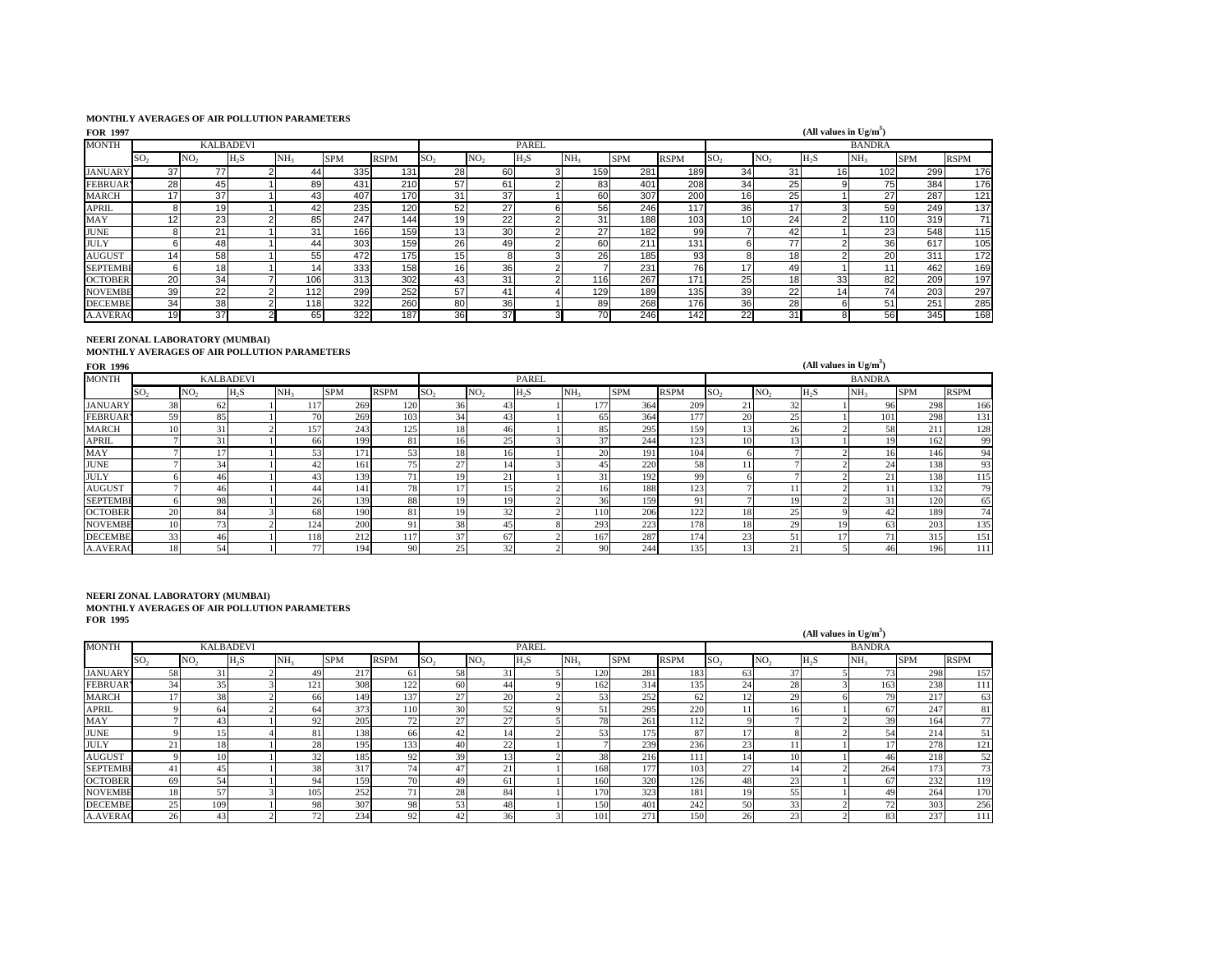#### **MONTHLY AVERAGES OF AIR POLLUTION PARAMETERS**

| <b>FOR 1997</b> |                 |                 |                  |                 |            |             |                 |                 |                  |                 |            |      |                 |                 | (All values in $Ug/m3$ ) |               |            |             |
|-----------------|-----------------|-----------------|------------------|-----------------|------------|-------------|-----------------|-----------------|------------------|-----------------|------------|------|-----------------|-----------------|--------------------------|---------------|------------|-------------|
| <b>MONTH</b>    |                 |                 | <b>KALBADEVI</b> |                 |            |             |                 |                 | <b>PAREL</b>     |                 |            |      |                 |                 |                          | <b>BANDRA</b> |            |             |
|                 | SO.             | NO.             | H <sub>2</sub> S | NH <sub>2</sub> | <b>SPM</b> | <b>RSPM</b> | SO <sub>2</sub> | NO <sub>2</sub> | H <sub>3</sub> S | NH <sub>2</sub> | <b>SPM</b> | RSPM | SO <sub>2</sub> | NO.             | H <sub>2</sub> S         | NH,           | <b>SPM</b> | <b>RSPM</b> |
| <b>JANUARY</b>  | 37              | 77              |                  | 44              | 335        | 131         | 28              | 60              |                  | 159             | 281        | 189  | 34              | 31              | 16                       | 102           | 299        | 176         |
| <b>FEBRUAR</b>  | 28              | 45              |                  | 89              | 431        | 210         | 57              | 61              |                  | 83              | 401        | 208  | 34              | 25              |                          | 75            | 384        | 176         |
| <b>MARCH</b>    | 17              | 37              |                  | 43              | 407        | 170         | 31              | 37              |                  | 60              | 307        | 200  | 16              | 25              |                          | 27            | 287        | 121         |
| <b>APRIL</b>    |                 | 19              |                  | 42              | 235        | 120         | 52              | 27              |                  | 56              | 246        | 117  | 36              | 17              |                          | 59            | 249        | 137         |
| MAY             | 12              | 23              |                  | 85              | 247        | 144         | 19              | 22              |                  | 31              | 188        | 103  | 10              | 24              |                          | 110           | 319        | 71          |
| <b>JUNE</b>     |                 | 21              |                  | 31              | 166        | 159         | 13              | 30              |                  | 27              | 182        | 99   |                 | 42              |                          | 23            | 548        | 115         |
| <b>JULY</b>     |                 | 48              |                  | 44              | 303        | 159         | 26              | 49              |                  | 60              | 211        | 131  |                 | 77              |                          | 36            | 617        | 105         |
| <b>AUGUST</b>   | 14 <sub>1</sub> | 58              |                  | 55              | 472        | 175         | 15              | 8               |                  | 26              | 185        | 93   |                 | 18              |                          | 20            | 311        | 172         |
| <b>SEPTEMBI</b> | 6               | 18 <sub>l</sub> |                  | 141             | 333        | 158         | 16              | 36              |                  |                 | 231        | 76   | 17              | 49              |                          |               | 462        | 169         |
| <b>OCTOBER</b>  | 20              | 34              |                  | 106             | 313        | 302         | 43              | 31              |                  | 116             | 267        | 171  | 25 <sub>1</sub> | 18 <sub>1</sub> | 33                       | 82            | 209        | 197         |
| <b>NOVEMBE</b>  | 39              | 22              |                  | 112             | 299        | 252         | 57              | 41              |                  | 129             | 189        | 135  | 39              | 22              | 14                       | 74            | 203        | 297         |
| <b>DECEMBE</b>  | 34              | 38              |                  | 118             | 322        | 260         | 80              | 36              |                  | 89              | 268        | 176  | 36              | 28              | 'n                       | 51            | 251        | 285         |
| <b>A.AVERAC</b> |                 | 37              |                  | 65              | 322        | 187         | 36              | 37              |                  | 70              | 246        | 142  | 22              | 31              |                          | 56            | 345        | 168         |

#### **NEERI ZONAL LABORATORY (MUMBAI)**

**MONTHLY AVERAGES OF AIR POLLUTION PARAMETERS** 

| <b>FOR 1996</b> |                 |                 |                  |                 |            |             |                 |                 |              |                         |            |             |                 |                 | (All values in $Ug/m^3$ ) |                 |            |                 |
|-----------------|-----------------|-----------------|------------------|-----------------|------------|-------------|-----------------|-----------------|--------------|-------------------------|------------|-------------|-----------------|-----------------|---------------------------|-----------------|------------|-----------------|
| <b>MONTH</b>    |                 |                 | <b>KALBADEVI</b> |                 |            |             |                 |                 | <b>PAREL</b> |                         |            |             |                 |                 |                           | <b>BANDRA</b>   |            |                 |
|                 | SO <sub>2</sub> | NO <sub>2</sub> | $H_2S$           | NH <sub>3</sub> | <b>SPM</b> | <b>RSPM</b> | SO <sub>2</sub> | NO <sub>2</sub> | $H_2S$       | NH <sub>3</sub>         | <b>SPM</b> | <b>RSPM</b> | SO <sub>2</sub> | NO <sub>2</sub> | $H_2S$                    | NH <sub>3</sub> | <b>SPM</b> | <b>RSPM</b>     |
| <b>JANUARY</b>  | 38              | 62              |                  |                 | 269        | 120         | 36              |                 |              | 177                     | 364        | 209         | 21              | 32              |                           | 96              | 298        | 166             |
| <b>FEBRUAR</b>  | 59              | 85              |                  | 70              | 269        | 103         | 34              |                 |              | 65                      | 364        | 177         | 20              | 25              |                           | 101             | 298        | 131             |
| <b>MARCH</b>    | 10              | 31              |                  | 57              | 243        | 125         | 18              | 46              |              | 85                      | 295        | 159         | 13              | 26              |                           | 58              | 211        | 128             |
| <b>APRIL</b>    |                 | 3               |                  | 66              | 199        | 81          | 16              |                 |              | 37                      | 244        | 123         | 10              | 13 <sup>1</sup> |                           | 19              | 162        | 99              |
| MAY             |                 |                 |                  | 53              | 171        | 53          | 18              | 161             |              | 20                      | 191        | 104         |                 |                 |                           | 16              | 146        | 94              |
| <b>JUNE</b>     |                 | 34              |                  |                 | 161        | 75          | 27              |                 |              | 45                      | 220        | 58          |                 |                 |                           | 24              | 138        | 93              |
| <b>JULY</b>     |                 | 46              |                  | 43.             | 139        | 71          |                 | $\overline{2}$  |              | $\overline{\mathbf{a}}$ | 192        | 99          |                 |                 |                           | 21              | 138        | 115             |
| <b>AUGUST</b>   |                 | 461             |                  | 44              | 141        | 78          |                 |                 |              |                         | 188        | 123         |                 |                 |                           |                 | 132        | 79              |
| <b>SEPTEMBE</b> |                 | 98              |                  | 26              | 139        | 88          | 19              | 19              |              | 36                      | 159        | 91          |                 | 19              |                           | 31              | 120        | 65              |
| <b>OCTOBER</b>  | 20              | 84              |                  | 681             | 190        | 81          |                 | $\gamma$        |              | 110                     | 206        | 122         | 18              | 25              |                           |                 | 189        | 74 <sub>1</sub> |
| <b>NOVEMBE</b>  | 10              | 73              |                  | 124             | 200        | 91          | 38              |                 |              | 293                     | 223        | 178         | 18              | 29              |                           | 63              | 203        | 135             |
| <b>DECEMBE</b>  | 33              | 46              |                  | 18              | 212        | 117         | 37              | 67              |              | 167                     | 287        | 174         | 23              | 51              |                           | 71              | 315        | 151             |
| <b>A.AVERAC</b> | 18              | 54              |                  | 77              | 194        | 90          | 25              | 32              |              | 90                      | 244        | 135         | 13              | 21              |                           |                 | 196        | 111             |

| .               |                 |                 |                  |                          |            |             |                 |                 |              |                 |     |             |                 |                 | (All values in $Ug/m^3$ ) |                 |            |             |
|-----------------|-----------------|-----------------|------------------|--------------------------|------------|-------------|-----------------|-----------------|--------------|-----------------|-----|-------------|-----------------|-----------------|---------------------------|-----------------|------------|-------------|
| <b>MONTH</b>    |                 |                 | <b>KALBADEVI</b> |                          |            |             |                 |                 | <b>PAREL</b> |                 |     |             |                 |                 |                           | <b>BANDRA</b>   |            |             |
|                 | SO <sub>2</sub> | NO <sub>2</sub> | $H_2S$           | NH <sub>3</sub>          | <b>SPM</b> | <b>RSPM</b> | SO <sub>2</sub> | NO <sub>2</sub> | $H_2S$       | NH <sub>3</sub> | SPM | <b>RSPM</b> | SO <sub>2</sub> | NO <sub>2</sub> | H <sub>2</sub> S          | NH <sub>3</sub> | <b>SPM</b> | <b>RSPM</b> |
| <b>JANUARY</b>  | 58              | 31              |                  | 49                       | 217        | 61          | 58              | 31              |              | 120             | 281 | 183         | 63              | 37              |                           | 73              | 298        | 157         |
| <b>FEBRUAR</b>  | 34              | 35              |                  | 121                      | 308        | 122         | 60              |                 |              | 162             | 314 | 135         | 24              | 28              |                           | 163             | 238        | 111         |
| <b>MARCH</b>    |                 | 38              |                  | 66                       | 149        | 137         | 27              | 20              |              | 53              | 252 | 62          | 12              | 29              |                           | 79              | 217        | 63          |
| <b>APRIL</b>    |                 | 64              |                  | 64                       | 373        | 110         | 30              | 52              |              | 51              | 295 | 220         |                 | 16              |                           | 67              | 247        | 81          |
| MAY             |                 | 43              |                  | 92                       | 205        | 72          | 27              | $\mathbf{r}$    |              | 78              | 261 | 112         |                 |                 |                           | 39              | 164        | 77          |
| <b>JUNE</b>     |                 |                 |                  | 81                       | 138        | 66          |                 |                 |              | 53              | 175 | 87          | 17              |                 |                           | 54              | 214        | 51          |
| <b>JULY</b>     | $\sim$<br>z.    | 18              |                  | 28                       | 195        | 133         |                 | $\sim$          |              |                 | 239 | 236         | 23              |                 |                           | 7               | 278        | 121         |
| <b>AUGUST</b>   |                 |                 |                  | 32                       | 185        | 92          | 39              |                 |              | 38              | 216 | 111         | 14              | 10              |                           | 461             | 218        | 52          |
| <b>SEPTEMBE</b> | 41              | 45              |                  | 38                       | 317        | 74          | 47              | 21              |              | 168             | 177 | 103         | 27              | 14              |                           | 264             | 173        | 73          |
| <b>OCTOBER</b>  | 69              | 54              |                  | 94                       | 159        | 70          | 49              | 61              |              | 160             | 320 | 126         | 48              | 23              |                           | 67              | 232        | 119         |
| <b>NOVEMBE</b>  | 18              | 57              |                  | 105                      | 252        | 71          | 28              | 84              |              | 170             | 323 | 181         | 19              | 55              |                           | 49              | 264        | 170         |
| <b>DECEMBE</b>  | 25              | 109             |                  | 98                       | 307        | 98          | 53              | 48              |              | 150             | 401 | 242         | 50              | 33              |                           | 72              | 303        | 256         |
| <b>A.AVERAC</b> | 26              | 43              |                  | $\overline{\phantom{a}}$ | 234        | 92          |                 | 36              |              | 101             | 271 | 150         | 26              | 23              |                           | 83              | 237        | 111         |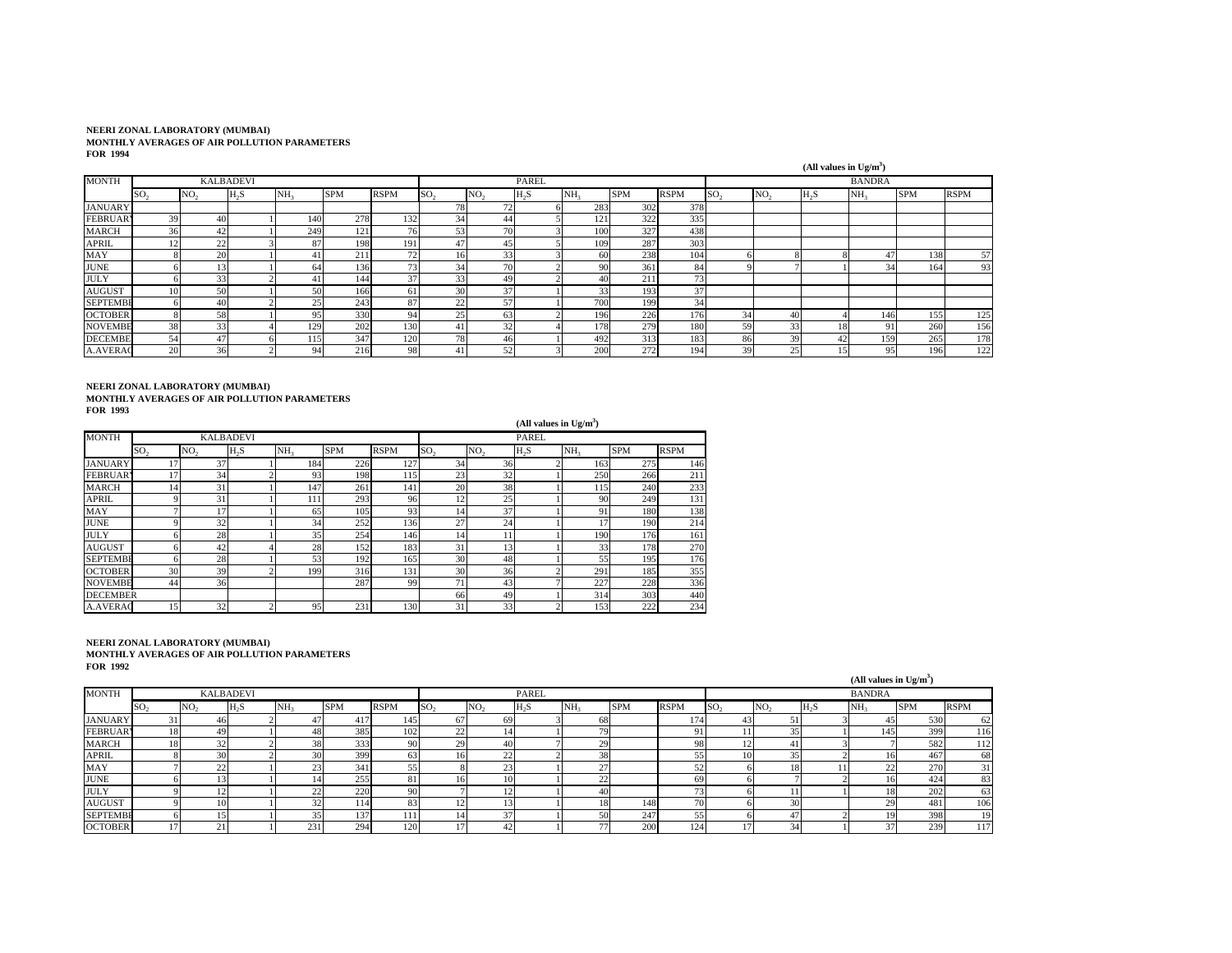|                 |                 |                 |                  |                 |            |                 |                 |                 |              |                 |            |             |                 |                 | (All values in $Ug/m^3$ ) |                 |            |             |
|-----------------|-----------------|-----------------|------------------|-----------------|------------|-----------------|-----------------|-----------------|--------------|-----------------|------------|-------------|-----------------|-----------------|---------------------------|-----------------|------------|-------------|
| <b>MONTH</b>    |                 |                 | <b>KALBADEVI</b> |                 |            |                 |                 |                 | <b>PAREL</b> |                 |            |             |                 |                 |                           | <b>BANDRA</b>   |            |             |
|                 | SO <sub>2</sub> | NO <sub>2</sub> | $H_2S$           | NH <sub>3</sub> | <b>SPM</b> | <b>RSPM</b>     | SO <sub>2</sub> | NO <sub>2</sub> | $H_2S$       | NH <sub>3</sub> | <b>SPM</b> | <b>RSPM</b> | SO <sub>2</sub> | NO <sub>2</sub> | $H_2S$                    | NH <sub>3</sub> | <b>SPM</b> | <b>RSPM</b> |
| <b>JANUARY</b>  |                 |                 |                  |                 |            |                 | 78              | 72              |              | 283             | 302        | 378         |                 |                 |                           |                 |            |             |
| <b>FEBRUAR</b>  | 39              | 40              |                  | 140             | 278        | 132             | 34              | 44              |              | 121             | 322        | 335         |                 |                 |                           |                 |            |             |
| <b>MARCH</b>    | 36              | 42              |                  | 249             | 121        | 76              | 53              | 70              |              | 100             | 327        | 438         |                 |                 |                           |                 |            |             |
| <b>APRIL</b>    | 12              | 22              |                  | 87              | 198        | 191             |                 | 45              |              | 109             | 287        | 303         |                 |                 |                           |                 |            |             |
| MAY             |                 | 20              |                  |                 | 211        | 72              | 16              | 33              |              | 60              | 238        | 104         |                 |                 |                           | 47              | 138        | 57          |
| <b>JUNE</b>     |                 |                 |                  | 64              | 136        | 73 <sub>1</sub> | 34              | 70              |              | 90              | 361        | 84          |                 |                 |                           | 34              | 164        | 93          |
| <b>JULY</b>     |                 | 33              |                  |                 | 144        | 37              | 33              | 49              |              | 40              | 211        | 73          |                 |                 |                           |                 |            |             |
| <b>AUGUST</b>   | 10              | 50              |                  | 50              | 166        | 61              | 30              | 37              |              | 33 <sub>1</sub> | 193        | 37          |                 |                 |                           |                 |            |             |
| <b>SEPTEMBE</b> | 61              | 40              |                  | 25              | 243        | 87              | $\sim$<br>22    | 57              |              | 700             | 199        | 34          |                 |                 |                           |                 |            |             |
| <b>OCTOBER</b>  |                 | 58              |                  |                 | 330        | 94              | 25              | 63              |              | 196             | 226        | 176         | 34              | 40              |                           | 146             | 155        | 125         |
| <b>NOVEMBE</b>  | 38              | 33              |                  | 29              | 202        | 130             |                 | 32              |              | 178             | 279        | 180         | 59              | 33              | 18                        | 91              | 260        | 156         |
| <b>DECEMBE</b>  | 54              | 47              |                  | 15              | 347        | 120             | 78              | 461             |              | 492             | 313        | 183         | 86              | 39              | 42                        | 159             | 265        | 178         |
| <b>A.AVERAC</b> | 20              | 36              |                  |                 | 216        | 98              |                 | 52              |              | 200             | 272        | 194         | 39              | 25              | 15                        | 95              | 196        | 122         |

**NEERI ZONAL LABORATORY (MUMBAI) MONTHLY AVERAGES OF AIR POLLUTION PARAMETERS FOR 1993**

|                 |                 |                 |                  |                 |            |             |                 |                 | (All values in $Ug/m^3$ ) |                 |            |             |
|-----------------|-----------------|-----------------|------------------|-----------------|------------|-------------|-----------------|-----------------|---------------------------|-----------------|------------|-------------|
| <b>MONTH</b>    |                 |                 | <b>KALBADEVI</b> |                 |            |             |                 |                 | <b>PAREL</b>              |                 |            |             |
|                 | SO <sub>2</sub> | NO <sub>2</sub> | $H_2S$           | NH <sub>2</sub> | <b>SPM</b> | <b>RSPM</b> | SO <sub>2</sub> | NO <sub>2</sub> | H <sub>2</sub> S          | NH <sub>2</sub> | <b>SPM</b> | <b>RSPM</b> |
| <b>JANUARY</b>  | 17              | 37              |                  | 184             | 226        | 127         | 34              | 36              |                           | 163             | 275        | 146         |
| <b>FEBRUARY</b> | 17              | 34              |                  | 93              | 198        | 115         | 23              | 32              |                           | 250             | 266        | 211         |
| <b>MARCH</b>    | 14              | 31              |                  | 147             | 261        | 141         | 20              | 38              |                           | 115             | 240        | 233         |
| <b>APRIL</b>    | q               | 31              |                  | 111             | 293        | 96          | 12              | 25              |                           | 90              | 249        | 131         |
| <b>MAY</b>      |                 | 17              |                  | 65              | 105        | 93          | 14              | 37              |                           | 91              | 180        | 138         |
| <b>JUNE</b>     |                 | 32              |                  | 34              | 252        | 136         | 27              | 24              |                           | 17              | 190        | 214         |
| <b>JULY</b>     |                 | 28              |                  | 35              | 254        | 146         | 14              |                 |                           | 190             | 176        | 161         |
| <b>AUGUST</b>   |                 | 42              |                  | 28              | 152        | 183         | 31              | 13              |                           | 33              | 178        | 270         |
| <b>SEPTEMBE</b> | 6               | 28              |                  | 53              | 192        | 165         | 30              | 48              |                           | 55              | 195        | 176         |
| <b>OCTOBER</b>  | 30              | 39              | ◠                | 199             | 316        | 131         | 30              | 36              |                           | 291             | 185        | 355         |
| <b>NOVEMBE</b>  | 44              | 36              |                  |                 | 287        | 99          | 71 <sub>1</sub> | 43              |                           | 227             | 228        | 336         |
| <b>DECEMBER</b> |                 |                 |                  |                 |            |             | 66              | 49              |                           | 314             | 303        | 440         |
| <b>A.AVERAC</b> | 15              | 32              | n                | 95              | 231        | 130         | 31              | 33              |                           | 153             | 222        | 234         |

| .               |                 |                 |           |                 |            |             |                 |                 |              |                 |            |             |                 |                 |        | (All values in $Ug/m^3$ ) |            |             |
|-----------------|-----------------|-----------------|-----------|-----------------|------------|-------------|-----------------|-----------------|--------------|-----------------|------------|-------------|-----------------|-----------------|--------|---------------------------|------------|-------------|
| <b>MONTH</b>    |                 |                 | KALBADEVI |                 |            |             |                 |                 | <b>PAREL</b> |                 |            |             |                 |                 |        | <b>BANDRA</b>             |            |             |
|                 | SO <sub>2</sub> | NO <sub>2</sub> | $H_2S$    | NH <sub>3</sub> | <b>SPM</b> | <b>RSPM</b> | SO <sub>2</sub> | NO <sub>2</sub> | $H_2S$       | NH <sub>3</sub> | <b>SPM</b> | <b>RSPM</b> | SO <sub>2</sub> | NO <sub>2</sub> | $H_2S$ | NH <sub>3</sub>           | <b>SPM</b> | <b>RSPM</b> |
| <b>JANUARY</b>  |                 |                 |           |                 | 41         | 145         |                 | - 69            |              |                 |            | 174         |                 |                 |        |                           | 530        | 62          |
| <b>FEBRUARY</b> | 18              | -49             |           | 48              | 385        | 102         | 22              |                 |              | 7C              |            | $\Omega$    |                 | 35              |        |                           | 399        | 116         |
| <b>MARCH</b>    | 18              | $\sim$          |           | 38              | 333        |             | 29              | 40              |              | 20<br>٠.        |            | 98          |                 | 41              |        |                           | 582        | 112         |
| <b>APRIL</b>    |                 | 30              |           | 30              | 399        | 63          |                 | --              |              | 38              |            | 54          | $10^{\circ}$    | 35              |        |                           | 467        | 68          |
| MAY             |                 | $\sim$          |           |                 | 341        | ر ر         |                 | $\sim$          |              | $\sim$          |            |             |                 | 18              |        |                           | 270        | 31          |
| <b>JUNE</b>     |                 |                 |           |                 | 255        | 81          |                 | 10              |              | $\Delta$<br>44  |            | 69          |                 |                 |        |                           | 424        | 83          |
| <b>JULY</b>     |                 |                 |           | ∸               | 220        | $^{\circ}$  |                 |                 |              | $\Delta$        |            | m,          |                 |                 |        |                           | 202        | 63          |
| <b>AUGUST</b>   |                 |                 |           | 32              | 114        | 83          |                 |                 |              |                 | 148        | 70          |                 | 30              |        |                           | 481        | 106         |
| <b>SEPTEMBE</b> |                 |                 |           |                 | 137        |             |                 | $\sim$          |              | 50              | 247        |             |                 | 47              |        |                           | 398        | 19          |
| <b>OCTOBER</b>  |                 |                 |           | 231             | 294        | 120         |                 |                 |              | $\sim$          | 200        | 124         |                 | 34              |        |                           | 239        | 117         |